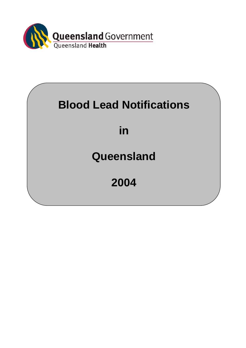

# **Blood Lead Notifications**

## **in**

### **Queensland**

# **2004**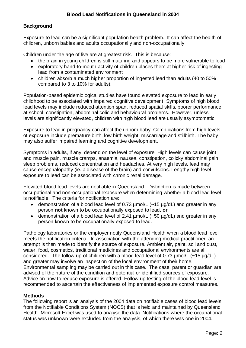#### **Background**

Exposure to lead can be a significant population health problem. It can affect the health of children, unborn babies and adults occupationally and non-occupationally.

Children under the age of five are at greatest risk. This is because:

- the brain in young children is still maturing and appears to be more vulnerable to lead
- exploratory hand-to-mouth activity of children places them at higher risk of ingesting lead from a contaminated environment
- children absorb a much higher proportion of ingested lead than adults (40 to 50% compared to 3 to 10% for adults).

Population-based epidemiological studies have found elevated exposure to lead in early childhood to be associated with impaired cognitive development. Symptoms of high blood lead levels may include reduced attention span, reduced spatial skills, poorer performance at school, constipation, abdominal colic and behavioural problems. However, unless levels are significantly elevated, children with high blood lead are usually asymptomatic.

Exposure to lead in pregnancy can affect the unborn baby. Complications from high levels of exposure include premature birth, low birth weight, miscarriage and stillbirth. The baby may also suffer impaired learning and cognitive development.

Symptoms in adults, if any, depend on the level of exposure. High levels can cause joint and muscle pain, muscle cramps, anaemia, nausea, constipation, colicky abdominal pain, sleep problems, reduced concentration and headaches. At very high levels, lead may cause encephalopathy (ie. a disease of the brain) and convulsions. Lengthy high level exposure to lead can be associated with chronic renal damage.

Elevated blood lead levels are notifiable in Queensland. Distinction is made between occupational and non-occupational exposure when determining whether a blood lead level is notifiable. The criteria for notification are:

- demonstration of a blood lead level of 0.73 µmol/L (~15 µg/dL) and greater in any person **not** known to be occupationally exposed to lead, **or**
- demonstration of a blood lead level of 2.41 µmol/L (~50 µg/dL) and greater in any person known to be occupationally exposed to lead.

Pathology laboratories or the employer notify Queensland Health when a blood lead level meets the notification criteria. In association with the attending medical practitioner, an attempt is then made to identify the source of exposure. Ambient air, paint, soil and dust, water, food, cosmetics, traditional medicines and occupational environments are all considered. The follow-up of children with a blood lead level of 0.73  $\mu$ mol/L (~15  $\mu$ g/dL) and greater may involve an inspection of the local environment of their home. Environmental sampling may be carried out in this case. The case, parent or guardian are advised of the nature of the condition and potential or identified sources of exposure. Advice on how to reduce exposure is offered. Follow-up testing of the blood lead level is recommended to ascertain the effectiveness of implemented exposure control measures.

#### **Methods**

The following report is an analysis of the 2004 data on notifiable cases of blood lead levels from the Notifiable Conditions System (NOCS) that is held and maintained by Queensland Health. Microsoft Excel was used to analyse the data. Notifications where the occupational status was unknown were excluded from the analysis, of which there was one in 2004.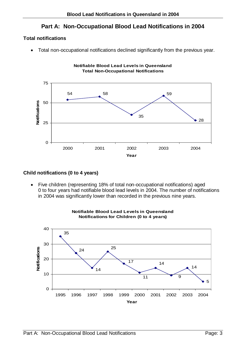### **Part A: Non-Occupational Blood Lead Notifications in 2004**

#### **Total notifications**

• Total non-occupational notifications declined significantly from the previous year.



#### **Child notifications (0 to 4 years)**

• Five children (representing 18% of total non-occupational notifications) aged 0 to four years had notifiable blood lead levels in 2004. The number of notifications in 2004 was significantly lower than recorded in the previous nine years.



#### **Notifiable Blood Lead Levels in Queensland Notifications for Children (0 to 4 years)**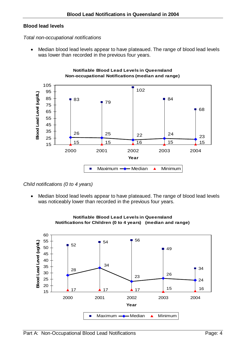#### **Blood lead levels**

#### *Total non-occupational notifications*

• Median blood lead levels appear to have plateaued. The range of blood lead levels was lower than recorded in the previous four years.





*Child notifications (0 to 4 years)* 

• Median blood lead levels appear to have plateaued. The range of blood lead levels was noticeably lower than recorded in the previous four years.



#### **Notifiable Blood Lead Levels in Queensland Notifications for Children (0 to 4 years) (median and range)**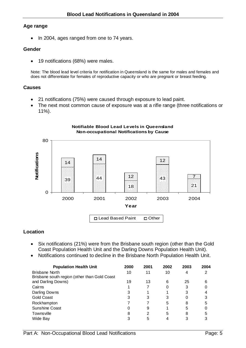#### **Age range**

• In 2004, ages ranged from one to 74 years.

#### **Gender**

• 19 notifications (68%) were males.

Note: The blood lead level criteria for notification in Queensland is the same for males and females and does not differentiate for females of reproductive capacity or who are pregnant or breast feeding.

#### **Causes**

- 21 notifications (75%) were caused through exposure to lead paint.
- The next most common cause of exposure was at a rifle range (three notifications or 11%).



#### **Location**

- Six notifications (21%) were from the Brisbane south region (other than the Gold Coast Population Health Unit and the Darling Downs Population Health Unit).
- Notifications continued to decline in the Brisbane North Population Health Unit.

| <b>Population Health Unit</b>                | 2000 | 2001 | 2002 | 2003 | 2004 |
|----------------------------------------------|------|------|------|------|------|
| Brisbane North                               | 10   | 11   | 10   | 4    | 2    |
| Brisbane south region (other than Gold Coast |      |      |      |      |      |
| and Darling Downs)                           | 19   | 13   | 6    | 25   | 6    |
| Cairns                                       |      |      |      | 3    |      |
| Darling Downs                                | 3    |      |      | 3    | 4    |
| <b>Gold Coast</b>                            | 3    | 3    | 3    | 0    | 3    |
| Rockhampton                                  |      |      | 5    | 8    | 5    |
| <b>Sunshine Coast</b>                        |      | 9    |      | 5    |      |
| Townsville                                   | 8    | 2    | 5    | 8    | 5    |
| Wide Bay                                     |      | 5    |      |      |      |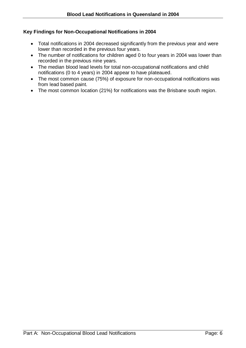#### **Key Findings for Non-Occupational Notifications in 2004**

- Total notifications in 2004 decreased significantly from the previous year and were lower than recorded in the previous four years.
- The number of notifications for children aged 0 to four years in 2004 was lower than recorded in the previous nine years.
- The median blood lead levels for total non-occupational notifications and child notifications (0 to 4 years) in 2004 appear to have plateaued.
- The most common cause (75%) of exposure for non-occupational notifications was from lead based paint.
- The most common location (21%) for notifications was the Brisbane south region.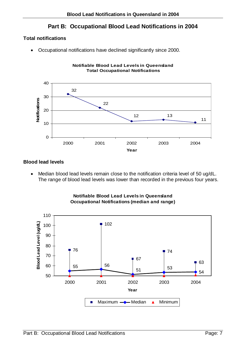### **Part B: Occupational Blood Lead Notifications in 2004**

**Notifiable Blood Lead Levels in Queensland**

#### **Total notifications**

• Occupational notifications have declined significantly since 2000.



#### **Blood lead levels**

• Median blood lead levels remain close to the notification criteria level of 50 ug/dL. The range of blood lead levels was lower than recorded in the previous four years.